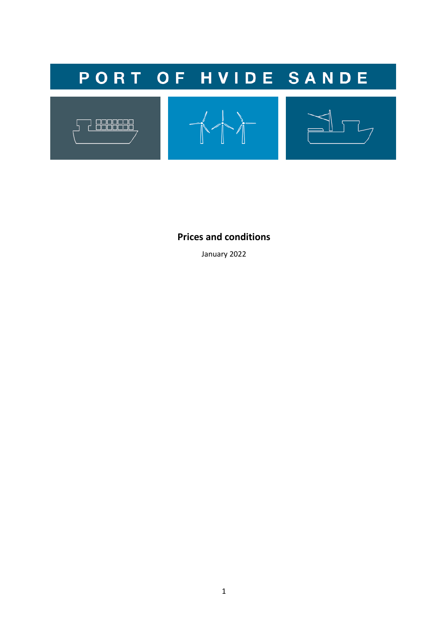

**Prices and conditions**

January 2022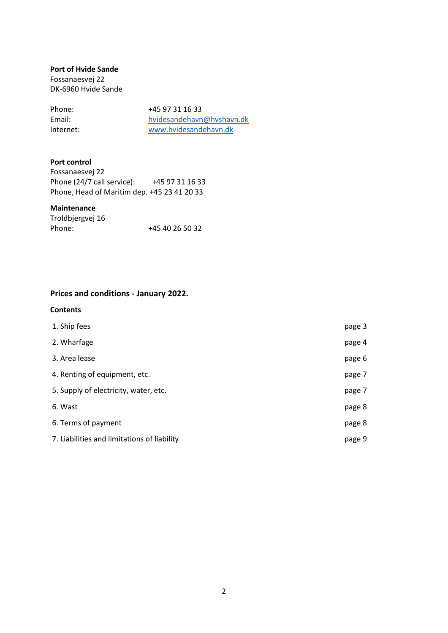## **Port of Hvide Sande**

Fossanaesvej 22 DK-6960 Hvide Sande

| Phone:    | +45 97 31 16 33           |
|-----------|---------------------------|
| Email:    | hvidesandehavn@hvshavn.dk |
| Internet: | www.hvidesandehavn.dk     |

# **Port control**

| Fossanaesvei 22                             |                 |
|---------------------------------------------|-----------------|
| Phone (24/7 call service):                  | +45 97 31 16 33 |
| Phone, Head of Maritim dep. +45 23 41 20 33 |                 |

# **Maintenance**

| Troldbjergvej 16 |                 |
|------------------|-----------------|
| Phone:           | +45 40 26 50 32 |

# **Prices and conditions - January 2022.**

# **Contents**

| 1. Ship fees                                | page 3 |
|---------------------------------------------|--------|
| 2. Wharfage                                 | page 4 |
| 3. Area lease                               | page 6 |
| 4. Renting of equipment, etc.               | page 7 |
| 5. Supply of electricity, water, etc.       | page 7 |
| 6. Wast                                     | page 8 |
| 6. Terms of payment                         | page 8 |
| 7. Liabilities and limitations of liability | page 9 |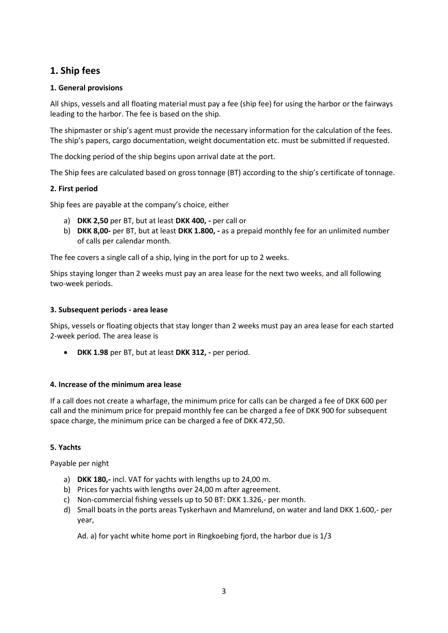# **1. Ship fees**

# **1. General provisions**

All ships, vessels and all floating material must pay a fee (ship fee) for using the harbor or the fairways leading to the harbor. The fee is based on the ship.

The shipmaster or ship's agent must provide the necessary information for the calculation of the fees. The ship's papers, cargo documentation, weight documentation etc. must be submitted if requested.

The docking period of the ship begins upon arrival date at the port.

The Ship fees are calculated based on gross tonnage (BT) according to the ship's certificate of tonnage.

# **2. First period**

Ship fees are payable at the company's choice, either

- a) **DKK 2,50** per BT, but at least **DKK 400, -** per call or
- b) **DKK 8,00-** per BT, but at least **DKK 1.800, -** as a prepaid monthly fee for an unlimited number of calls per calendar month.

The fee covers a single call of a ship, lying in the port for up to 2 weeks.

Ships staying longer than 2 weeks must pay an area lease for the next two weeks, and all following two-week periods.

## **3. Subsequent periods - area lease**

Ships, vessels or floating objects that stay longer than 2 weeks must pay an area lease for each started 2-week period. The area lease is

• **DKK 1.98** per BT, but at least **DKK 312, -** per period.

# **4. Increase of the minimum area lease**

If a call does not create a wharfage, the minimum price for calls can be charged a fee of DKK 600 per call and the minimum price for prepaid monthly fee can be charged a fee of DKK 900 for subsequent space charge, the minimum price can be charged a fee of DKK 472,50.

# **5. Yachts**

Payable per night

- a) **DKK 180,-** incl. VAT for yachts with lengths up to 24,00 m.
- b) Prices for yachts with lengths over 24,00 m after agreement.
- c) Non-commercial fishing vessels up to 50 BT: DKK 1.326,- per month.
- d) Small boats in the ports areas Tyskerhavn and Mamrelund, on water and land DKK 1.600,- per year,

Ad. a) for yacht white home port in Ringkoebing fjord, the harbor due is 1/3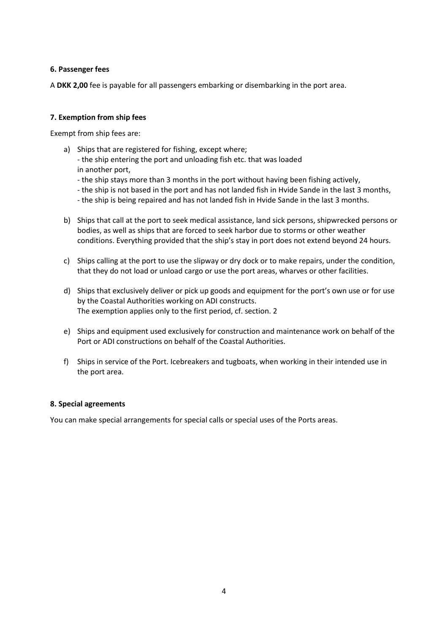## **6. Passenger fees**

A **DKK 2,00** fee is payable for all passengers embarking or disembarking in the port area.

## **7. Exemption from ship fees**

Exempt from ship fees are:

a) Ships that are registered for fishing, except where;

- the ship entering the port and unloading fish etc. that was loaded in another port,

- the ship stays more than 3 months in the port without having been fishing actively,
- the ship is not based in the port and has not landed fish in Hvide Sande in the last 3 months,
- the ship is being repaired and has not landed fish in Hvide Sande in the last 3 months.
- b) Ships that call at the port to seek medical assistance, land sick persons, shipwrecked persons or bodies, as well as ships that are forced to seek harbor due to storms or other weather conditions. Everything provided that the ship's stay in port does not extend beyond 24 hours.
- c) Ships calling at the port to use the slipway or dry dock or to make repairs, under the condition, that they do not load or unload cargo or use the port areas, wharves or other facilities.
- d) Ships that exclusively deliver or pick up goods and equipment for the port's own use or for use by the Coastal Authorities working on ADI constructs. The exemption applies only to the first period, cf. section. 2
- e) Ships and equipment used exclusively for construction and maintenance work on behalf of the Port or ADI constructions on behalf of the Coastal Authorities.
- f) Ships in service of the Port. Icebreakers and tugboats, when working in their intended use in the port area.

## **8. Special agreements**

You can make special arrangements for special calls or special uses of the Ports areas.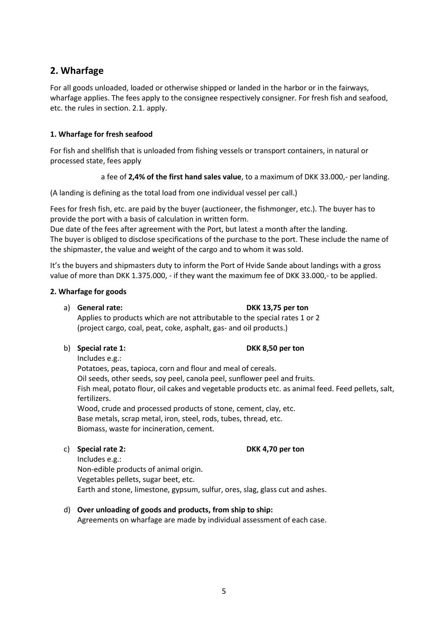# **2. Wharfage**

For all goods unloaded, loaded or otherwise shipped or landed in the harbor or in the fairways, wharfage applies. The fees apply to the consignee respectively consigner. For fresh fish and seafood, etc. the rules in section. 2.1. apply.

# **1. Wharfage for fresh seafood**

For fish and shellfish that is unloaded from fishing vessels or transport containers, in natural or processed state, fees apply

## a fee of **2,4% of the first hand sales value**, to a maximum of DKK 33.000,- per landing.

(A landing is defining as the total load from one individual vessel per call.)

Fees for fresh fish, etc. are paid by the buyer (auctioneer, the fishmonger, etc.). The buyer has to provide the port with a basis of calculation in written form.

Due date of the fees after agreement with the Port, but latest a month after the landing. The buyer is obliged to disclose specifications of the purchase to the port. These include the name of the shipmaster, the value and weight of the cargo and to whom it was sold.

It's the buyers and shipmasters duty to inform the Port of Hvide Sande about landings with a gross value of more than DKK 1.375.000, - if they want the maximum fee of DKK 33.000,- to be applied.

## **2. Wharfage for goods**

## a) **General rate: DKK 13,75 per ton**

Applies to products which are not attributable to the special rates 1 or 2 (project cargo, coal, peat, coke, asphalt, gas- and oil products.)

# b) **Special rate 1: DKK 8,50 per ton**

Includes e.g.:

Potatoes, peas, tapioca, corn and flour and meal of cereals. Oil seeds, other seeds, soy peel, canola peel, sunflower peel and fruits. Fish meal, potato flour, oil cakes and vegetable products etc. as animal feed. Feed pellets, salt, fertilizers. Wood, crude and processed products of stone, cement, clay, etc.

Base metals, scrap metal, iron, steel, rods, tubes, thread, etc. Biomass, waste for incineration, cement.

# c) **Special rate 2: DKK 4,70 per ton**

Includes e.g.: Non-edible products of animal origin. Vegetables pellets, sugar beet, etc. Earth and stone, limestone, gypsum, sulfur, ores, slag, glass cut and ashes.

# d) **Over unloading of goods and products, from ship to ship:**

Agreements on wharfage are made by individual assessment of each case.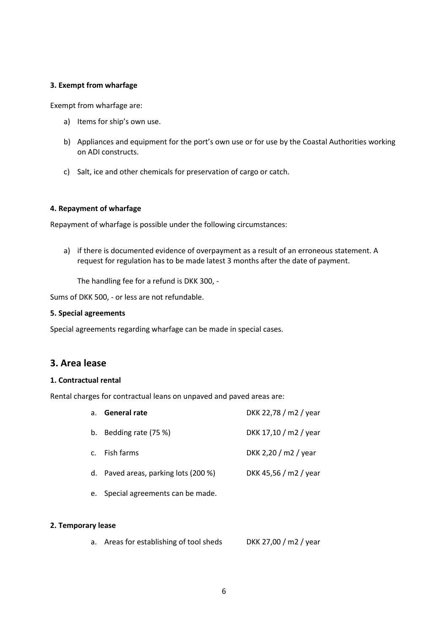### **3. Exempt from wharfage**

Exempt from wharfage are:

- a) Items for ship's own use.
- b) Appliances and equipment for the port's own use or for use by the Coastal Authorities working on ADI constructs.
- c) Salt, ice and other chemicals for preservation of cargo or catch.

#### **4. Repayment of wharfage**

Repayment of wharfage is possible under the following circumstances:

a) if there is documented evidence of overpayment as a result of an erroneous statement. A request for regulation has to be made latest 3 months after the date of payment.

The handling fee for a refund is DKK 300, -

Sums of DKK 500, - or less are not refundable.

#### **5. Special agreements**

Special agreements regarding wharfage can be made in special cases.

# **3. Area lease**

#### **1. Contractual rental**

Rental charges for contractual leans on unpaved and paved areas are:

| a. General rate                      | DKK 22,78 / m2 / year |
|--------------------------------------|-----------------------|
| b. Bedding rate (75 %)               | DKK 17,10 / m2 / year |
| c. Fish farms                        | DKK 2,20 / m2 / year  |
| d. Paved areas, parking lots (200 %) | DKK 45,56 / m2 / year |
|                                      |                       |

e. Special agreements can be made.

#### **2. Temporary lease**

a. Areas for establishing of tool sheds DKK 27,00 / m2 / year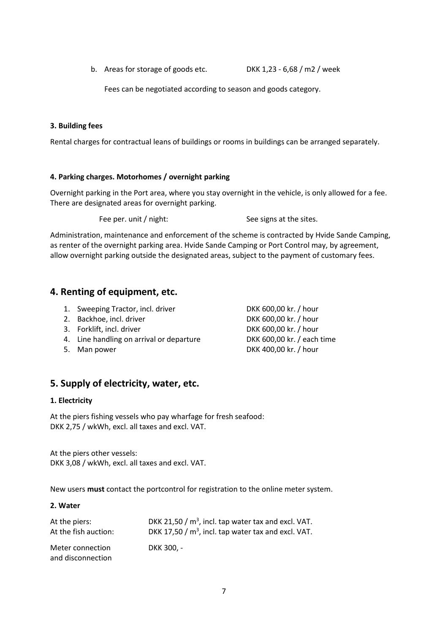b. Areas for storage of goods etc. DKK 1,23 - 6,68 / m2 / week

Fees can be negotiated according to season and goods category.

## **3. Building fees**

Rental charges for contractual leans of buildings or rooms in buildings can be arranged separately.

## **4. Parking charges. Motorhomes / overnight parking**

Overnight parking in the Port area, where you stay overnight in the vehicle, is only allowed for a fee. There are designated areas for overnight parking.

Fee per. unit / night: See signs at the sites.

Administration, maintenance and enforcement of the scheme is contracted by Hvide Sande Camping, as renter of the overnight parking area. Hvide Sande Camping or Port Control may, by agreement, allow overnight parking outside the designated areas, subject to the payment of customary fees.

# **4. Renting of equipment, etc.**

- 1. Sweeping Tractor, incl. driver **DKK 600,00 kr.** / hour
- 
- 3. Forklift, incl. driver example to the DKK 600,00 kr. / hour
- 4. Line handling on arrival or departure DKK 600,00 kr. / each time
- 

2. Backhoe, incl. driver **DKK 600,00 kr.** / hour 5. Man power DKK 400,00 kr. / hour

# **5. Supply of electricity, water, etc.**

## **1. Electricity**

At the piers fishing vessels who pay wharfage for fresh seafood: DKK 2,75 / wkWh, excl. all taxes and excl. VAT.

At the piers other vessels: DKK 3,08 / wkWh, excl. all taxes and excl. VAT.

New users **must** contact the portcontrol for registration to the online meter system.

## **2. Water**

| At the piers:                         | DKK 21,50 $/m3$ , incl. tap water tax and excl. VAT. |
|---------------------------------------|------------------------------------------------------|
| At the fish auction:                  | DKK 17,50 $/m3$ , incl. tap water tax and excl. VAT. |
| Meter connection<br>and disconnection | DKK 300. -                                           |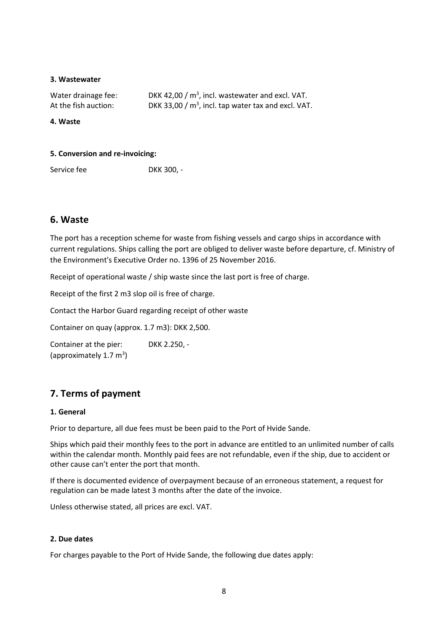#### **3. Wastewater**

| Water drainage fee:  | DKK 42,00 $/m3$ , incl. wastewater and excl. VAT.    |
|----------------------|------------------------------------------------------|
| At the fish auction: | DKK 33,00 $/m3$ , incl. tap water tax and excl. VAT. |

**4. Waste**

#### **5. Conversion and re-invoicing:**

Service fee DKK 300, -

# **6. Waste**

The port has a reception scheme for waste from fishing vessels and cargo ships in accordance with current regulations. Ships calling the port are obliged to deliver waste before departure, cf. Ministry of the Environment's Executive Order no. 1396 of 25 November 2016.

Receipt of operational waste / ship waste since the last port is free of charge.

Receipt of the first 2 m3 slop oil is free of charge.

Contact the Harbor Guard regarding receipt of other waste

Container on quay (approx. 1.7 m3): DKK 2,500.

Container at the pier: DKK 2.250, - (approximately 1.7 m<sup>3</sup>)

# **7. Terms of payment**

#### **1. General**

Prior to departure, all due fees must be been paid to the Port of Hvide Sande.

Ships which paid their monthly fees to the port in advance are entitled to an unlimited number of calls within the calendar month. Monthly paid fees are not refundable, even if the ship, due to accident or other cause can't enter the port that month.

If there is documented evidence of overpayment because of an erroneous statement, a request for regulation can be made latest 3 months after the date of the invoice.

Unless otherwise stated, all prices are excl. VAT.

## **2. Due dates**

For charges payable to the Port of Hvide Sande, the following due dates apply: